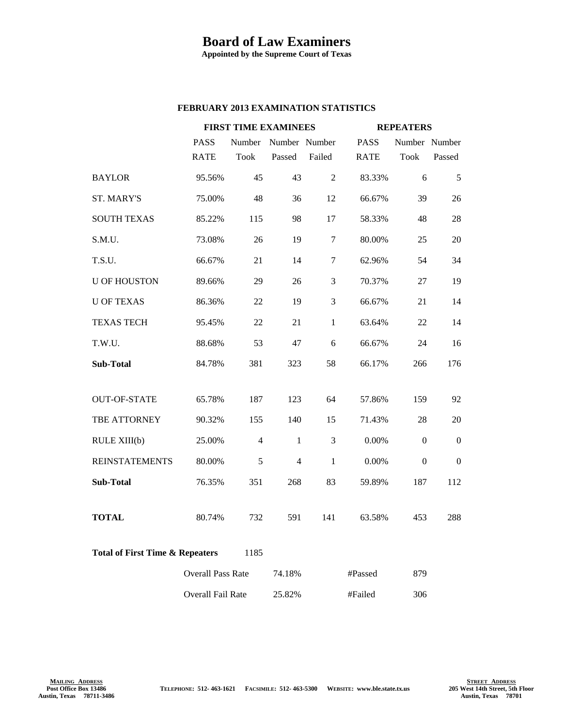## **Board of Law Examiners**

**Appointed by the Supreme Court of Texas**

## **FEBRUARY 2013 EXAMINATION STATISTICS**

|                                                    |                          | <b>FIRST TIME EXAMINEES</b> |                |                |             | <b>REPEATERS</b> |          |
|----------------------------------------------------|--------------------------|-----------------------------|----------------|----------------|-------------|------------------|----------|
|                                                    | <b>PASS</b>              | Number                      | Number Number  |                | <b>PASS</b> | Number Number    |          |
|                                                    | <b>RATE</b>              | <b>Took</b>                 | Passed         | Failed         | <b>RATE</b> | <b>Took</b>      | Passed   |
| <b>BAYLOR</b>                                      | 95.56%                   | 45                          | 43             | 2              | 83.33%      | 6                | 5        |
| <b>ST. MARY'S</b>                                  | 75.00%                   | 48                          | 36             | 12             | 66.67%      | 39               | 26       |
| <b>SOUTH TEXAS</b>                                 | 85.22%                   | 115                         | 98             | 17             | 58.33%      | 48               | 28       |
| S.M.U.                                             | 73.08%                   | 26                          | 19             | $\overline{7}$ | 80.00%      | 25               | 20       |
| T.S.U.                                             | 66.67%                   | 21                          | 14             | 7              | 62.96%      | 54               | 34       |
| <b>U OF HOUSTON</b>                                | 89.66%                   | 29                          | 26             | 3              | 70.37%      | 27               | 19       |
| <b>U OF TEXAS</b>                                  | 86.36%                   | 22                          | 19             | $\mathfrak{Z}$ | 66.67%      | 21               | 14       |
| <b>TEXAS TECH</b>                                  | 95.45%                   | 22                          | 21             | $\mathbf{1}$   | 63.64%      | 22               | 14       |
| T.W.U.                                             | 88.68%                   | 53                          | 47             | 6              | 66.67%      | 24               | 16       |
| Sub-Total                                          | 84.78%                   | 381                         | 323            | 58             | 66.17%      | 266              | 176      |
|                                                    |                          |                             |                |                |             |                  |          |
| <b>OUT-OF-STATE</b>                                | 65.78%                   | 187                         | 123            | 64             | 57.86%      | 159              | 92       |
| <b>TBE ATTORNEY</b>                                | 90.32%                   | 155                         | 140            | 15             | 71.43%      | 28               | 20       |
| RULE XIII(b)                                       | 25.00%                   | $\overline{4}$              | $\mathbf{1}$   | 3              | 0.00%       | $\boldsymbol{0}$ | $\theta$ |
| <b>REINSTATEMENTS</b>                              | 80.00%                   | 5                           | $\overline{4}$ | $\mathbf{1}$   | $0.00\%$    | $\Omega$         | $\Omega$ |
| Sub-Total                                          | 76.35%                   | 351                         | 268            | 83             | 59.89%      | 187              | 112      |
|                                                    |                          |                             |                |                |             |                  |          |
| <b>TOTAL</b>                                       | 80.74%                   | 732                         | 591            | 141            | 63.58%      | 453              | 288      |
| <b>Total of First Time &amp; Repeaters</b><br>1185 |                          |                             |                |                |             |                  |          |
|                                                    | <b>Overall Pass Rate</b> |                             | 74.18%         |                | #Passed     | 879              |          |
|                                                    | <b>Overall Fail Rate</b> |                             | 25.82%         |                | #Failed     | 306              |          |